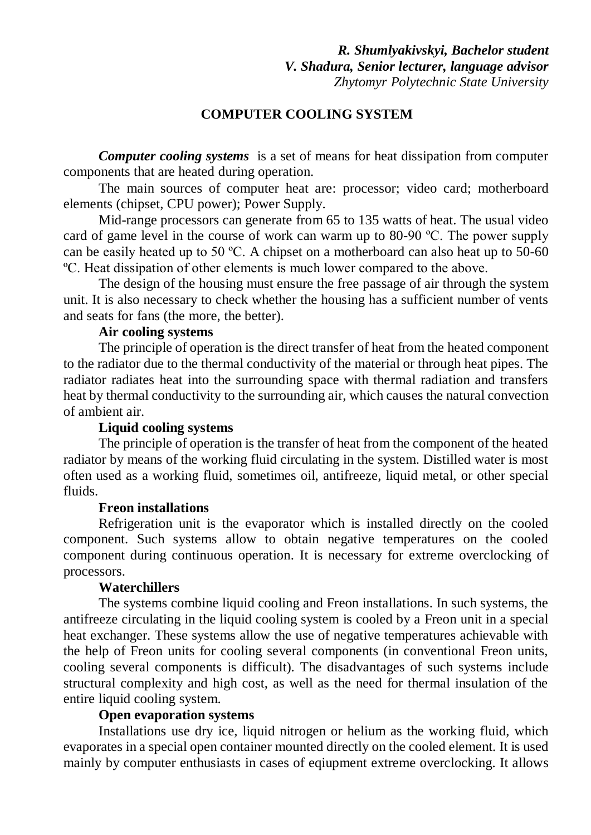### **COMPUTER COOLING SYSTEM**

*Computer cooling systems* is a set of means for heat dissipation from computer components that are heated during operation.

The main sources of computer heat are: processor; video card; motherboard elements (chipset, CPU power); Power Supply.

Mid-range processors can generate from 65 to 135 watts of heat. The usual video card of game level in the course of work can warm up to 80-90 ºС. The power supply can be easily heated up to 50 ºC. A chipset on a motherboard can also heat up to 50-60 ºC. Heat dissipation of other elements is much lower compared to the above.

The design of the housing must ensure the free passage of air through the system unit. It is also necessary to check whether the housing has a sufficient number of vents and seats for fans (the more, the better).

#### **Air cooling systems**

The principle of operation is the direct transfer of heat from the heated component to the radiator due to the thermal conductivity of the material or through heat pipes. The radiator radiates heat into the surrounding space with thermal radiation and transfers heat by thermal conductivity to the surrounding air, which causes the natural convection of ambient air.

### **Liquid cooling systems**

The principle of operation is the transfer of heat from the component of the heated radiator by means of the working fluid circulating in the system. Distilled water is most often used as a working fluid, sometimes oil, antifreeze, liquid metal, or other special fluids.

### **Freon installations**

Refrigeration unit is the evaporator which is installed directly on the cooled component. Such systems allow to obtain negative temperatures on the cooled component during continuous operation. It is necessary for extreme overclocking of processors.

### **Waterchillers**

The systems combine liquid cooling and Freon installations. In such systems, the antifreeze circulating in the liquid cooling system is cooled by a Freon unit in a special heat exchanger. These systems allow the use of negative temperatures achievable with the help of Freon units for cooling several components (in conventional Freon units, cooling several components is difficult). The disadvantages of such systems include structural complexity and high cost, as well as the need for thermal insulation of the entire liquid cooling system.

### **Open evaporation systems**

Installations use dry ice, liquid nitrogen or helium as the working fluid, which evaporates in a special open container mounted directly on the cooled element. It is used mainly by computer enthusiasts in cases of eqiupment extreme overclocking. It allows